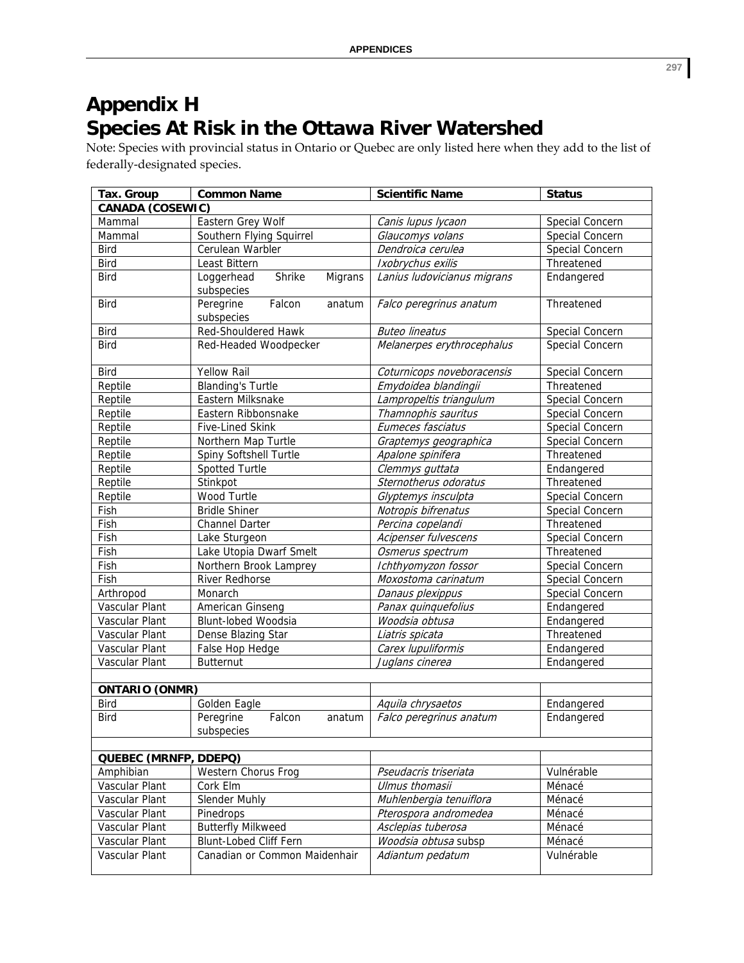## **Appendix H Species At Risk in the Ottawa River Watershed**

Note: Species with provincial status in Ontario or Quebec are only listed here when they add to the list of federally‐designated species.

| Tax. Group                 | <b>Common Name</b>                            | <b>Scientific Name</b>                       | <b>Status</b>            |  |  |
|----------------------------|-----------------------------------------------|----------------------------------------------|--------------------------|--|--|
| <b>CANADA (COSEWIC)</b>    |                                               |                                              |                          |  |  |
| Mammal                     | Eastern Grey Wolf                             | Canis lupus lycaon                           | Special Concern          |  |  |
| Mammal                     | Southern Flying Squirrel                      | Glaucomys volans                             | Special Concern          |  |  |
| <b>Bird</b>                | Cerulean Warbler                              | Dendroica cerulea                            | Special Concern          |  |  |
| <b>Bird</b>                | Least Bittern                                 | Ixobrychus exilis                            | Threatened               |  |  |
| <b>Bird</b>                | Shrike<br>Loggerhead<br>Migrans<br>subspecies | Lanius ludovicianus migrans                  | Endangered               |  |  |
| <b>Bird</b>                | Falcon<br>Peregrine<br>anatum<br>subspecies   | Falco peregrinus anatum                      | Threatened               |  |  |
| <b>Bird</b>                | <b>Red-Shouldered Hawk</b>                    | <b>Buteo lineatus</b>                        | Special Concern          |  |  |
| <b>Bird</b>                | Red-Headed Woodpecker                         | Melanerpes erythrocephalus                   | Special Concern          |  |  |
| Bird                       | <b>Yellow Rail</b>                            | Coturnicops noveboracensis                   | Special Concern          |  |  |
| Reptile                    | <b>Blanding's Turtle</b>                      | Emydoidea blandingii                         | Threatened               |  |  |
| Reptile                    | Eastern Milksnake                             | Lampropeltis triangulum                      | Special Concern          |  |  |
| Reptile                    | Eastern Ribbonsnake                           | Thamnophis sauritus                          | Special Concern          |  |  |
| Reptile                    | Five-Lined Skink                              | Eumeces fasciatus                            | Special Concern          |  |  |
| Reptile                    | Northern Map Turtle                           | Graptemys geographica                        | Special Concern          |  |  |
| Reptile                    | Spiny Softshell Turtle                        | Apalone spinifera                            | Threatened               |  |  |
| Reptile                    | Spotted Turtle                                | Clemmys guttata                              | Endangered               |  |  |
| Reptile                    | Stinkpot                                      | Sternotherus odoratus                        | Threatened               |  |  |
| Reptile                    | Wood Turtle                                   | Glyptemys insculpta                          | Special Concern          |  |  |
| Fish                       | <b>Bridle Shiner</b>                          | Notropis bifrenatus                          | Special Concern          |  |  |
| Fish                       | <b>Channel Darter</b>                         | Percina copelandi                            | Threatened               |  |  |
| Fish                       | Lake Sturgeon                                 | Acipenser fulvescens                         | Special Concern          |  |  |
| Fish                       | Lake Utopia Dwarf Smelt                       | Osmerus spectrum                             | Threatened               |  |  |
| Fish                       | Northern Brook Lamprey                        | Ichthyomyzon fossor                          | Special Concern          |  |  |
| Fish                       | <b>River Redhorse</b>                         | Moxostoma carinatum                          | Special Concern          |  |  |
| Arthropod                  | Monarch                                       | Danaus plexippus                             | Special Concern          |  |  |
| Vascular Plant             | American Ginseng                              | Panax quinquefolius                          | Endangered               |  |  |
| Vascular Plant             | <b>Blunt-lobed Woodsia</b>                    | Woodsia obtusa                               | Endangered               |  |  |
| Vascular Plant             | Dense Blazing Star                            | Liatris spicata                              | Threatened               |  |  |
| Vascular Plant             | False Hop Hedge                               | Carex lupuliformis                           | Endangered               |  |  |
| Vascular Plant             | <b>Butternut</b>                              | Juglans cinerea                              | Endangered               |  |  |
|                            |                                               |                                              |                          |  |  |
| <b>ONTARIO (ONMR)</b>      |                                               |                                              |                          |  |  |
| <b>Bird</b><br><b>Bird</b> | Golden Eagle<br>Peregrine<br>Falcon<br>anatum | Aquila chrysaetos<br>Falco peregrinus anatum | Endangered<br>Endangered |  |  |
|                            | subspecies                                    |                                              |                          |  |  |
| QUEBEC (MRNFP, DDEPQ)      |                                               |                                              |                          |  |  |
| Amphibian                  | Western Chorus Frog                           | Pseudacris triseriata                        | Vulnérable               |  |  |
| Vascular Plant             | Cork Elm                                      | Ulmus thomasii                               | Ménacé                   |  |  |
| Vascular Plant             | Slender Muhly                                 | Muhlenbergia tenuiflora                      | Ménacé                   |  |  |
| Vascular Plant             | Pinedrops                                     | Pterospora andromedea                        | Ménacé                   |  |  |
| Vascular Plant             | <b>Butterfly Milkweed</b>                     | Asclepias tuberosa                           | Ménacé                   |  |  |
| Vascular Plant             | Blunt-Lobed Cliff Fern                        | Woodsia obtusa subsp                         | Ménacé                   |  |  |
| Vascular Plant             | Canadian or Common Maidenhair                 | Adiantum pedatum                             | Vulnérable               |  |  |
|                            |                                               |                                              |                          |  |  |